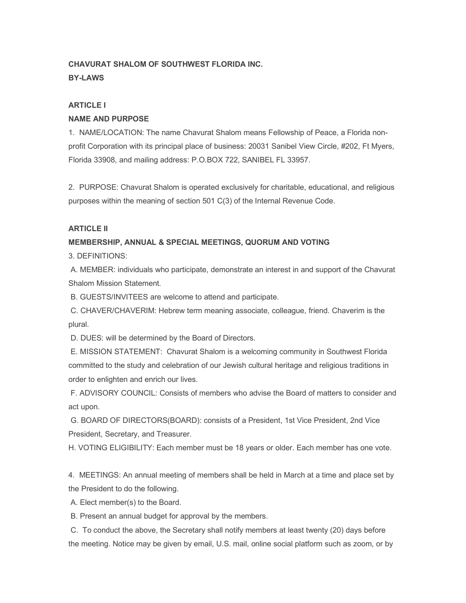## **CHAVURAT SHALOM OF SOUTHWEST FLORIDA INC.**

**BY-LAWS**

## **ARTICLE I**

## **NAME AND PURPOSE**

1. NAME/LOCATION: The name Chavurat Shalom means Fellowship of Peace, a Florida nonprofit Corporation with its principal place of business: 20031 Sanibel View Circle, #202, Ft Myers, Florida 33908, and mailing address: P.O.BOX 722, SANIBEL FL 33957.

2. PURPOSE: Chavurat Shalom is operated exclusively for charitable, educational, and religious purposes within the meaning of section 501 C(3) of the Internal Revenue Code.

## **ARTICLE II**

## **MEMBERSHIP, ANNUAL & SPECIAL MEETINGS, QUORUM AND VOTING**

3. DEFINITIONS:

A. MEMBER: individuals who participate, demonstrate an interest in and support of the Chavurat Shalom Mission Statement.

B. GUESTS/INVITEES are welcome to attend and participate.

C. CHAVER/CHAVERIM: Hebrew term meaning associate, colleague, friend. Chaverim is the plural.

D. DUES: will be determined by the Board of Directors.

E. MISSION STATEMENT: Chavurat Shalom is a welcoming community in Southwest Florida committed to the study and celebration of our Jewish cultural heritage and religious traditions in order to enlighten and enrich our lives.

F. ADVISORY COUNCIL: Consists of members who advise the Board of matters to consider and act upon.

G. BOARD OF DIRECTORS(BOARD): consists of a President, 1st Vice President, 2nd Vice President, Secretary, and Treasurer.

H. VOTING ELIGIBILITY: Each member must be 18 years or older. Each member has one vote.

4. MEETINGS: An annual meeting of members shall be held in March at a time and place set by the President to do the following.

A. Elect member(s) to the Board.

B. Present an annual budget for approval by the members.

C. To conduct the above, the Secretary shall notify members at least twenty (20) days before the meeting. Notice may be given by email, U.S. mail, online social platform such as zoom, or by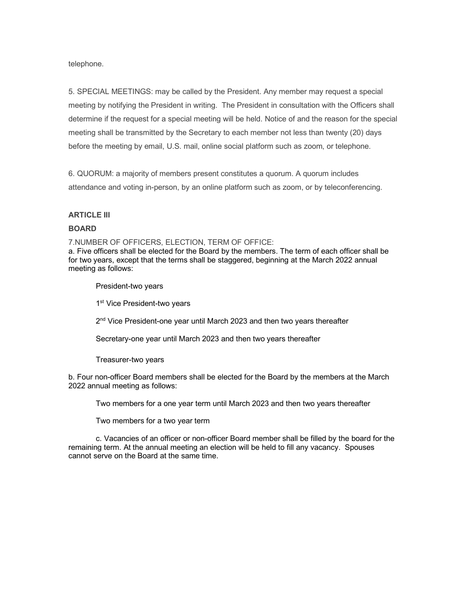telephone.

5. SPECIAL MEETINGS: may be called by the President. Any member may request a special meeting by notifying the President in writing. The President in consultation with the Officers shall determine if the request for a special meeting will be held. Notice of and the reason for the special meeting shall be transmitted by the Secretary to each member not less than twenty (20) days before the meeting by email, U.S. mail, online social platform such as zoom, or telephone.

6. QUORUM: a majority of members present constitutes a quorum. A quorum includes attendance and voting in-person, by an online platform such as zoom, or by teleconferencing.

#### **ARTICLE III**

#### **BOARD**

7.NUMBER OF OFFICERS, ELECTION, TERM OF OFFICE:

a. Five officers shall be elected for the Board by the members. The term of each officer shall be for two years, except that the terms shall be staggered, beginning at the March 2022 annual meeting as follows:

President-two years

1<sup>st</sup> Vice President-two years

2<sup>nd</sup> Vice President-one year until March 2023 and then two years thereafter

Secretary-one year until March 2023 and then two years thereafter

Treasurer-two years

b. Four non-officer Board members shall be elected for the Board by the members at the March 2022 annual meeting as follows:

Two members for a one year term until March 2023 and then two years thereafter

Two members for a two year term

c. Vacancies of an officer or non-officer Board member shall be filled by the board for the remaining term. At the annual meeting an election will be held to fill any vacancy. Spouses cannot serve on the Board at the same time.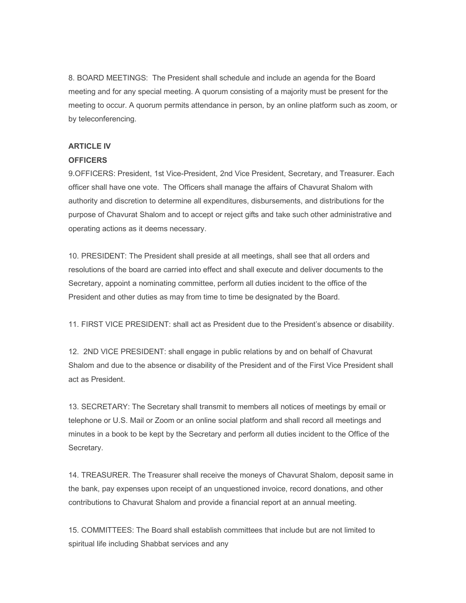8. BOARD MEETINGS: The President shall schedule and include an agenda for the Board meeting and for any special meeting. A quorum consisting of a majority must be present for the meeting to occur. A quorum permits attendance in person, by an online platform such as zoom, or by teleconferencing.

## **ARTICLE IV**

#### **OFFICERS**

9.OFFICERS: President, 1st Vice-President, 2nd Vice President, Secretary, and Treasurer. Each officer shall have one vote. The Officers shall manage the affairs of Chavurat Shalom with authority and discretion to determine all expenditures, disbursements, and distributions for the purpose of Chavurat Shalom and to accept or reject gifts and take such other administrative and operating actions as it deems necessary.

10. PRESIDENT: The President shall preside at all meetings, shall see that all orders and resolutions of the board are carried into effect and shall execute and deliver documents to the Secretary, appoint a nominating committee, perform all duties incident to the office of the President and other duties as may from time to time be designated by the Board.

11. FIRST VICE PRESIDENT: shall act as President due to the President's absence or disability.

12. 2ND VICE PRESIDENT: shall engage in public relations by and on behalf of Chavurat Shalom and due to the absence or disability of the President and of the First Vice President shall act as President.

13. SECRETARY: The Secretary shall transmit to members all notices of meetings by email or telephone or U.S. Mail or Zoom or an online social platform and shall record all meetings and minutes in a book to be kept by the Secretary and perform all duties incident to the Office of the Secretary.

14. TREASURER. The Treasurer shall receive the moneys of Chavurat Shalom, deposit same in the bank, pay expenses upon receipt of an unquestioned invoice, record donations, and other contributions to Chavurat Shalom and provide a financial report at an annual meeting.

15. COMMITTEES: The Board shall establish committees that include but are not limited to spiritual life including Shabbat services and any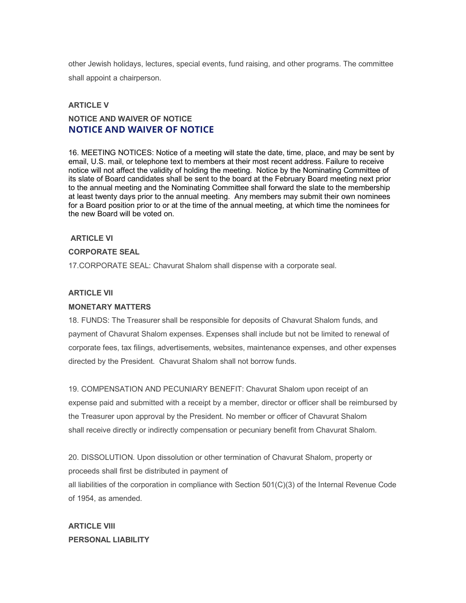other Jewish holidays, lectures, special events, fund raising, and other programs. The committee shall appoint a chairperson.

## **ARTICLE V**

# **NOTICE AND WAIVER OF NOTICE NOTICE AND WAIVER OF NOTICE**

16. MEETING NOTICES: Notice of a meeting will state the date, time, place, and may be sent by email, U.S. mail, or telephone text to members at their most recent address. Failure to receive notice will not affect the validity of holding the meeting. Notice by the Nominating Committee of its slate of Board candidates shall be sent to the board at the February Board meeting next prior to the annual meeting and the Nominating Committee shall forward the slate to the membership at least twenty days prior to the annual meeting. Any members may submit their own nominees for a Board position prior to or at the time of the annual meeting, at which time the nominees for the new Board will be voted on.

## **ARTICLE VI**

#### **CORPORATE SEAL**

17.CORPORATE SEAL: Chavurat Shalom shall dispense with a corporate seal.

#### **ARTICLE VII**

#### **MONETARY MATTERS**

18. FUNDS: The Treasurer shall be responsible for deposits of Chavurat Shalom funds, and payment of Chavurat Shalom expenses. Expenses shall include but not be limited to renewal of corporate fees, tax filings, advertisements, websites, maintenance expenses, and other expenses directed by the President. Chavurat Shalom shall not borrow funds.

19. COMPENSATION AND PECUNIARY BENEFIT: Chavurat Shalom upon receipt of an expense paid and submitted with a receipt by a member, director or officer shall be reimbursed by the Treasurer upon approval by the President. No member or officer of Chavurat Shalom shall receive directly or indirectly compensation or pecuniary benefit from Chavurat Shalom.

20. DISSOLUTION. Upon dissolution or other termination of Chavurat Shalom, property or proceeds shall first be distributed in payment of all liabilities of the corporation in compliance with Section 501(C)(3) of the Internal Revenue Code of 1954, as amended.

**ARTICLE VIII PERSONAL LIABILITY**